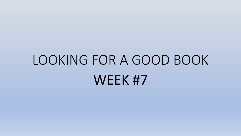## LOOKING FOR A GOOD BOOK WEEK #7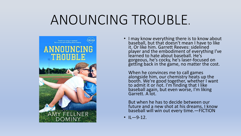## ANOUNCING TROUBLE.



• I may know everything there is to know about baseball, but that doesn't mean I have to like it. Or like him. Garrett Reeves: sidelined player and the embodiment of everything I've learned to hate about baseball. He's gorgeous, he's cocky, he's laser-focused on getting back in the game, no matter the cost.

When he convinces me to call games alongside him, our chemistry heats up the booth. We're good together, whether I want to admit it or not. I'm finding that I like baseball again, but even worse, I'm liking Garrett. A lot.

But when he has to decide between our future and a new shot at his dreams, I know baseball will win out every time.—FICTION

 $\cdot$  IL-9-12.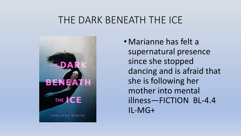### THE DARK BENEATH THE ICE



• Marianne has felt a supernatural presence since she stopped dancing and is afraid that she is following her mother into mental illness—FICTION BL-4.4 IL-MG+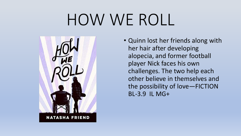# HOW WE ROLL



• Quinn lost her friends along with her hair after developing alopecia, and former football player Nick faces his own challenges. The two help each other believe in themselves and the possibility of love—FICTION BL-3.9 IL MG+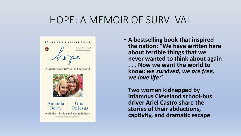### HOPE: A MEMOIR OF SURVI VAL



A Memoir of Survival in Cleveland



Amanda Gina **Berry** DeJesus with Mary Jordan and Kevin Sullivan Winners of the Pulitzer Prize

• **A bestselling book that inspired the nation: "We have written here about terrible things that we never wanted to think about again . . . Now we want the world to know:** *we survived, we are free, we love life***."**

**Two women kidnapped by infamous Cleveland school-bus driver Ariel Castro share the stories of their abductions, captivity, and dramatic escape**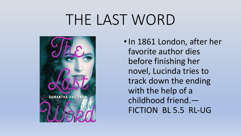## THE LAST WORD



•In 1861 London, after her favorite author dies before finishing her novel, Lucinda tries to track down the ending with the help of a childhood friend.— FICTION BL 5.5 RL-UG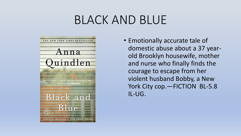## BLACK AND BLUE



• Emotionally accurate tale of domestic abuse about a 37 yearold Brooklyn housewife, mother and nurse who finally finds the courage to escape from her violent husband Bobby, a New York City cop. - FICTION BL-5.8 IL-UG.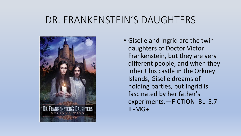### DR. FRANKENSTEIN'S DAUGHTERS



• Giselle and Ingrid are the twin daughters of Doctor Victor Frankenstein, but they are very different people, and when they inherit his castle in the Orkney Islands, Giselle dreams of holding parties, but Ingrid is fascinated by her father's experiments.—FICTION BL 5.7 IL-MG+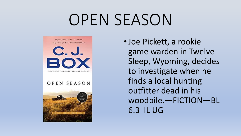## OPEN SEASON



•Joe Pickett, a rookie game warden in Twelve Sleep, Wyoming, decides to investigate when he finds a local hunting outfitter dead in his woodpile.—FICTION—BL 6.3 IL UG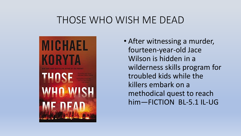### THOSE WHO WISH ME DEAD



• After witnessing a murder, fourteen-year-old Jace Wilson is hidden in a wilderness skills program for troubled kids while the killers embark on a methodical quest to reach him—FICTION BL-5.1 IL-UG